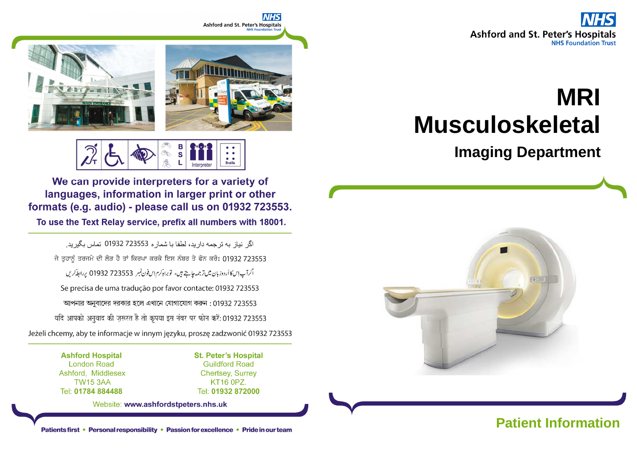

# **MRIMusculoskeletal**

**Imaging Department**





S **Braille** 

We can provide interpreters for a variety of languages, information in larger print or other formats (e.g. audio) - please call us on 01932 723553.

To use the Text Relay service, prefix all numbers with 18001.

اگر نباز به تر جمه دار بد، لطفا با شمار ه 723553 01932 تماس بگیر بد. ਜੇ ਤੁਹਾਨੂੰ ਤਰਜਮੇ ਦੀ ਲੋੜ ਹੈ ਤਾਂ ਕਿਰਪਾ ਕਰਕੇ ਇਸ ਨੰਬਰ ਤੇ ਫੋਨ ਕਰੋ: 01932 723553 اگرآپ اِسکااُردوز بان میں تر جمہ جاہتے ہیں، توبراہِ کرم اِس فون نمبر 723553 01932 پر ابطہ کریں Se precisa de uma tradução por favor contacte: 01932 723553 আপনার অনুবাদের দরকার হলে এখানে যোগাযোগ করুন: 01932 723553 यदि आपको अनुवाद की ज़रूरत है तो कृपया इस नंबर पर फोन करें: 01932 723553 Jeżeli chcemy, aby te informacje w innym języku, proszę zadzwonić 01932 723553

> **Ashford Hospital London Road** Ashford, Middlesex **TW15 3AA** Tel: 01784 884488

**St. Peter's Hospital Guildford Road Chertsey, Surrey** KT16 0PZ. Tel: 01932 872000

**NHS** 

Website: www.ashfordstpeters.nhs.uk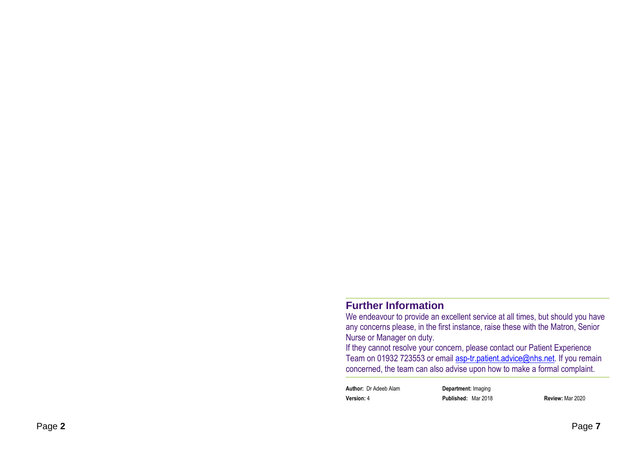#### **Further Information**

 We endeavour to provide an excellent service at all times, but should you have any concerns please, in the first instance, raise these with the Matron, Senior Nurse or Manager on duty.

 If they cannot resolve your concern, please contact our Patient Experience Team on 01932 723553 or email **asp-tr.patient.advice@nhs.net**. If you remain concerned, the team can also advise upon how to make a formal complaint.

**Author:** Dr Adeeb Alam **Department:** Imaging**Version:** 4 **Published:** Mar 2018 **Review:** Mar 2020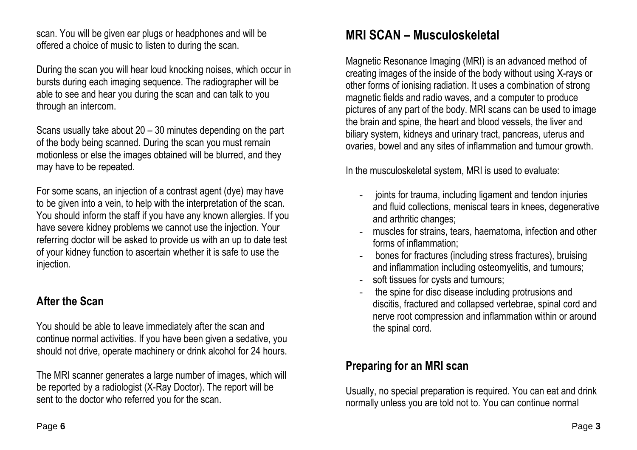scan. You will be given ear plugs or headphones and will be offered a choice of music to listen to during the scan.

During the scan you will hear loud knocking noises, which occur in bursts during each imaging sequence. The radiographer will be able to see and hear you during the scan and can talk to you through an intercom.

Scans usually take about 20 – 30 minutes depending on the part of the body being scanned. During the scan you must remain motionless or else the images obtained will be blurred, and they may have to be repeated.

For some scans, an injection of a contrast agent (dye) may have to be given into a vein, to help with the interpretation of the scan. You should inform the staff if you have any known allergies. If you have severe kidney problems we cannot use the injection. Your referring doctor will be asked to provide us with an up to date test of your kidney function to ascertain whether it is safe to use the injection.

### **After the Scan**

You should be able to leave immediately after the scan and continue normal activities. If you have been given a sedative, you should not drive, operate machinery or drink alcohol for 24 hours.

The MRI scanner generates a large number of images, which will be reported by a radiologist (X-Ray Doctor). The report will be sent to the doctor who referred you for the scan.

## **MRI SCAN – Musculoskeletal**

Magnetic Resonance Imaging (MRI) is an advanced method of creating images of the inside of the body without using X-rays or other forms of ionising radiation. It uses a combination of strong magnetic fields and radio waves, and a computer to produce pictures of any part of the body. MRI scans can be used to image the brain and spine, the heart and blood vessels, the liver and biliary system, kidneys and urinary tract, pancreas, uterus and ovaries, bowel and any sites of inflammation and tumour growth.

In the musculoskeletal system, MRI is used to evaluate:

- joints for trauma, including ligament and tendon injuries and fluid collections, meniscal tears in knees, degenerative and arthritic changes;
- muscles for strains, tears, haematoma, infection and other forms of inflammation;
- bones for fractures (including stress fractures), bruising and inflammation including osteomyelitis, and tumours;
- soft tissues for cysts and tumours;
- the spine for disc disease including protrusions and discitis, fractured and collapsed vertebrae, spinal cord and nerve root compression and inflammation within or around the spinal cord.

### **Preparing for an MRI scan**

Usually, no special preparation is required. You can eat and drink normally unless you are told not to. You can continue normal